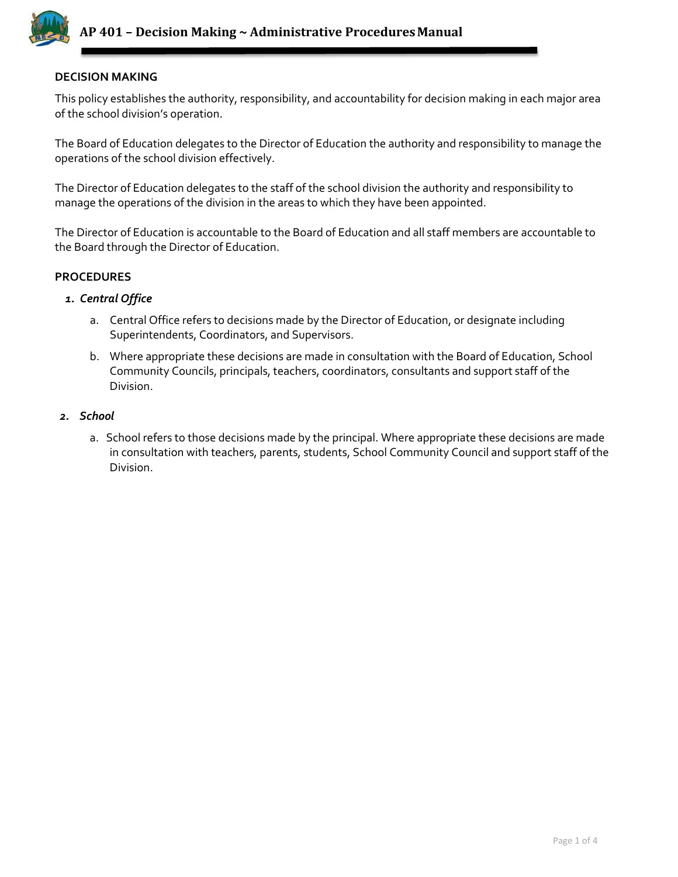

## **DECISION MAKING**

This policy establishes the authority, responsibility, and accountability for decision making in each major area of the school division's operation.

The Board of Education delegates to the Director of Education the authority and responsibility to manage the operations of the school division effectively.

The Director of Education delegates to the staff of the school division the authority and responsibility to manage the operations of the division in the areas to which they have been appointed.

The Director of Education is accountable to the Board of Education and all staff members are accountable to the Board through the Director of Education.

## **PROCEDURES**

### *1. Central Office*

- a. Central Office refers to decisions made by the Director of Education, or designate including Superintendents, Coordinators, and Supervisors.
- b. Where appropriate these decisions are made in consultation with the Board of Education, School Community Councils, principals, teachers, coordinators, consultants and support staff of the Division.

#### *2. School*

a. School refers to those decisions made by the principal. Where appropriate these decisions are made in consultation with teachers, parents, students, School Community Council and support staff of the Division.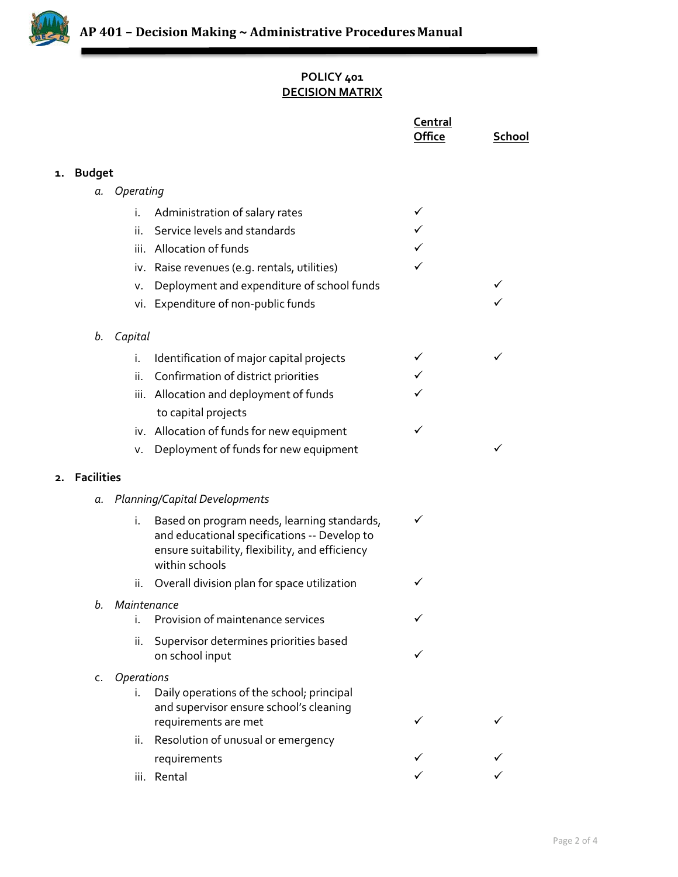

# **POLICY 401 DECISION MATRIX**

|    |                         |             |                                                                                                                                                                  | Central<br>Office | <b>School</b> |
|----|-------------------------|-------------|------------------------------------------------------------------------------------------------------------------------------------------------------------------|-------------------|---------------|
| 1. | <b>Budget</b>           |             |                                                                                                                                                                  |                   |               |
|    | a.                      | Operating   |                                                                                                                                                                  |                   |               |
|    |                         | i.          | Administration of salary rates                                                                                                                                   |                   |               |
|    |                         | ii.         | Service levels and standards                                                                                                                                     |                   |               |
|    |                         | iii.        | Allocation of funds                                                                                                                                              |                   |               |
|    |                         |             | iv. Raise revenues (e.g. rentals, utilities)                                                                                                                     | ✓                 |               |
|    |                         | v.          | Deployment and expenditure of school funds                                                                                                                       |                   |               |
|    |                         |             | vi. Expenditure of non-public funds                                                                                                                              |                   |               |
|    | b.                      | Capital     |                                                                                                                                                                  |                   |               |
|    |                         | i.          | Identification of major capital projects                                                                                                                         |                   | ✓             |
|    |                         | ii.         | Confirmation of district priorities                                                                                                                              |                   |               |
|    |                         |             | iii. Allocation and deployment of funds                                                                                                                          |                   |               |
|    |                         |             | to capital projects                                                                                                                                              |                   |               |
|    |                         |             | iv. Allocation of funds for new equipment                                                                                                                        | ✓                 |               |
|    |                         | ν.          | Deployment of funds for new equipment                                                                                                                            |                   | ✓             |
| 2. | <b>Facilities</b>       |             |                                                                                                                                                                  |                   |               |
|    | а.                      |             | Planning/Capital Developments                                                                                                                                    |                   |               |
|    |                         | i.          | Based on program needs, learning standards,<br>and educational specifications -- Develop to<br>ensure suitability, flexibility, and efficiency<br>within schools | ✓                 |               |
|    |                         | ii.         | Overall division plan for space utilization                                                                                                                      | ✓                 |               |
|    | b.                      | Maintenance |                                                                                                                                                                  |                   |               |
|    |                         | i.          | Provision of maintenance services                                                                                                                                |                   |               |
|    |                         | ii.         | Supervisor determines priorities based<br>on school input                                                                                                        |                   |               |
|    | <b>Operations</b><br>c. |             |                                                                                                                                                                  |                   |               |
|    |                         | i.          | Daily operations of the school; principal<br>and supervisor ensure school's cleaning<br>requirements are met                                                     |                   |               |
|    |                         | ii.         | Resolution of unusual or emergency                                                                                                                               |                   |               |
|    |                         |             | requirements                                                                                                                                                     |                   |               |
|    |                         |             | iii. Rental                                                                                                                                                      |                   |               |
|    |                         |             |                                                                                                                                                                  |                   |               |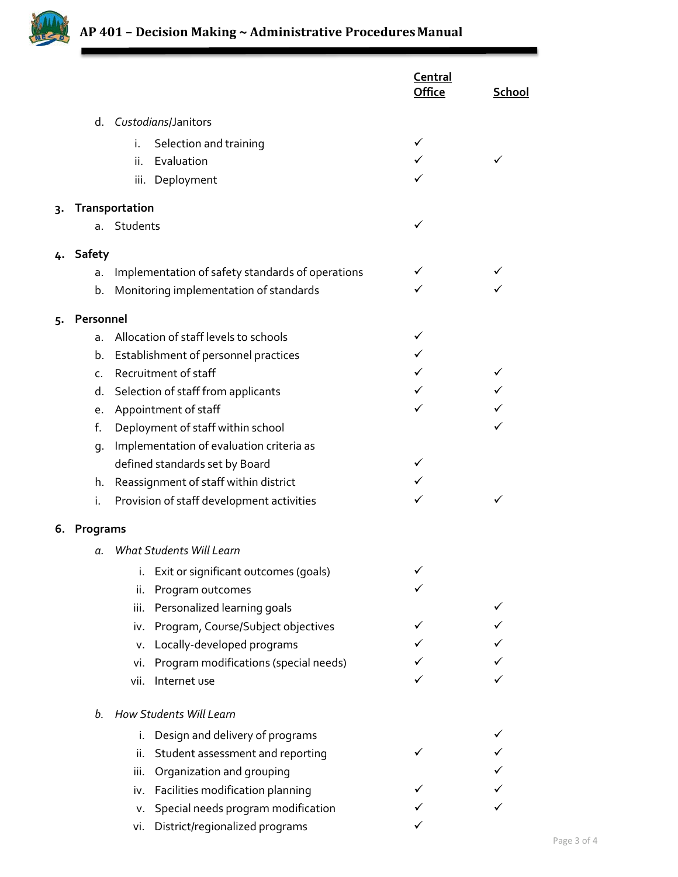

|    |           |                                                  | Central<br><b>Office</b> | School |
|----|-----------|--------------------------------------------------|--------------------------|--------|
|    | d.        | Custodians/Janitors                              |                          |        |
|    |           | i.<br>Selection and training                     | ✓                        |        |
|    |           | Evaluation<br>ii.                                |                          |        |
|    |           | iii. Deployment                                  |                          |        |
| 3. |           | Transportation                                   |                          |        |
|    |           | a. Students                                      | ✓                        |        |
|    | 4. Safety |                                                  |                          |        |
|    | a.        | Implementation of safety standards of operations | ✓                        |        |
|    | b.        | Monitoring implementation of standards           | ✓                        |        |
| 5. | Personnel |                                                  |                          |        |
|    | a.        | Allocation of staff levels to schools            | ✓                        |        |
|    | b.        | Establishment of personnel practices             | ✓                        |        |
|    | c.        | Recruitment of staff                             |                          |        |
|    | d.        | Selection of staff from applicants               |                          |        |
|    | е.        | Appointment of staff                             | ✓                        |        |
|    | f.        | Deployment of staff within school                |                          |        |
|    | g.        | Implementation of evaluation criteria as         |                          |        |
|    |           | defined standards set by Board                   | ✓                        |        |
|    |           | h. Reassignment of staff within district         |                          |        |
|    | i.        | Provision of staff development activities        |                          |        |
| 6. | Programs  |                                                  |                          |        |
|    | α.        | What Students Will Learn                         |                          |        |
|    |           | Exit or significant outcomes (goals)             |                          |        |
|    |           | Program outcomes<br>ii.                          |                          |        |
|    |           | Personalized learning goals<br>iii.              |                          |        |
|    |           | Program, Course/Subject objectives<br>iv.        |                          |        |
|    |           | Locally-developed programs<br>v.                 |                          |        |
|    |           | Program modifications (special needs)<br>vi.     |                          |        |
|    |           | vii.<br>Internet use                             |                          |        |
|    | b.        | How Students Will Learn                          |                          |        |
|    |           | Design and delivery of programs<br>i.            |                          |        |
|    |           | Student assessment and reporting<br>ii.          |                          |        |
|    |           | Organization and grouping<br>iii.                |                          |        |
|    |           | Facilities modification planning<br>iv.          |                          |        |
|    |           | v. Special needs program modification            |                          |        |
|    |           | District/regionalized programs<br>vi.            |                          |        |
|    |           |                                                  |                          |        |